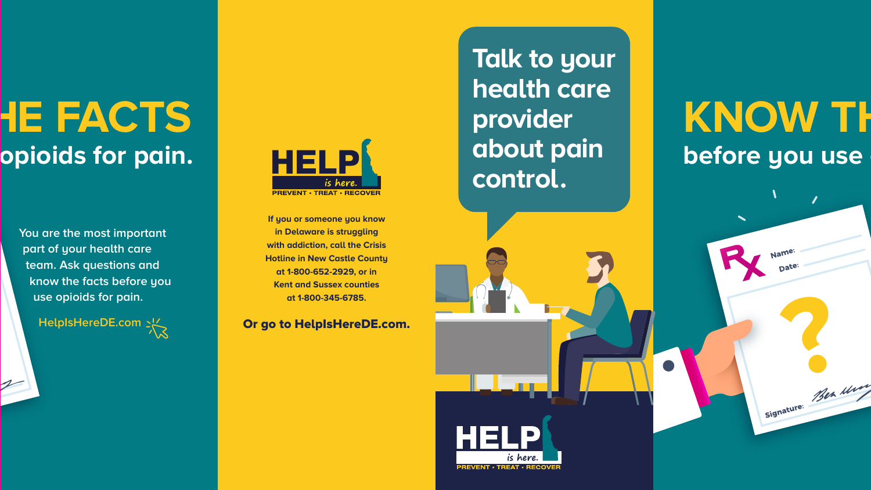## **KE FACTS before pain.**

**You are the most important part of your health care team. Ask questions and know the facts before you use opioids for pain.**

**HelpIsHereDE.com**



**Talk to your health care provider about pain control.**

**PREVENT · TREAT · RECOV** 

## **KNOW TH before you use**

Signature: Ben Min

Or go to HelpIsHereDE.com.

**If you or someone you know in Delaware is struggling with addiction, call the Crisis Hotline in New Castle County at 1-800-652-2929, or in Kent and Sussex counties at 1-800-345-6785.**